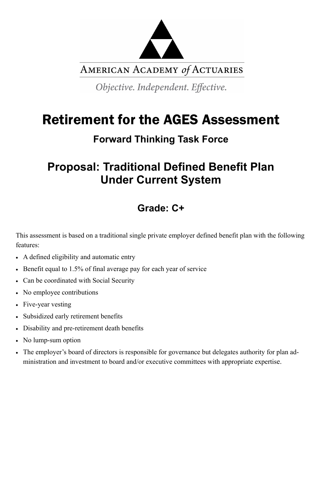

AMERICAN ACADEMY of ACTUARIES

Objective. Independent. Effective.

# Retirement for the AGES Assessment

### **Forward Thinking Task Force**

## **Proposal: Traditional Defined Benefit Plan Under Current System**

### **Grade: C+**

This assessment is based on a traditional single private employer defined benefit plan with the following features:

- A defined eligibility and automatic entry
- Benefit equal to 1.5% of final average pay for each year of service
- Can be coordinated with Social Security
- No employee contributions
- Five-year vesting
- Subsidized early retirement benefits
- Disability and pre-retirement death benefits
- No lump-sum option
- The employer's board of directors is responsible for governance but delegates authority for plan administration and investment to board and/or executive committees with appropriate expertise.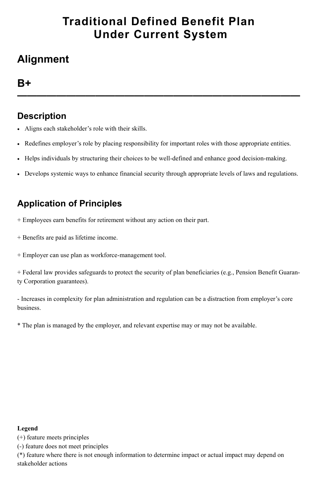## **Traditional Defined Benefit Plan Under Current System**

## **Alignment**

### **B+**

**—————————————————————————————**

### **Description**

- Aligns each stakeholder's role with their skills.
- Redefines employer's role by placing responsibility for important roles with those appropriate entities.
- Helps individuals by structuring their choices to be well-defined and enhance good decision-making.
- Develops systemic ways to enhance financial security through appropriate levels of laws and regulations.

### **Application of Principles**

- + Employees earn benefits for retirement without any action on their part.
- + Benefits are paid as lifetime income.
- + Employer can use plan as workforce-management tool.

+ Federal law provides safeguards to protect the security of plan beneficiaries (e.g., Pension Benefit Guaranty Corporation guarantees).

- Increases in complexity for plan administration and regulation can be a distraction from employer's core business.

\* The plan is managed by the employer, and relevant expertise may or may not be available.

#### **Legend**

(+) feature meets principles

(-) feature does not meet principles

(\*) feature where there is not enough information to determine impact or actual impact may depend on stakeholder actions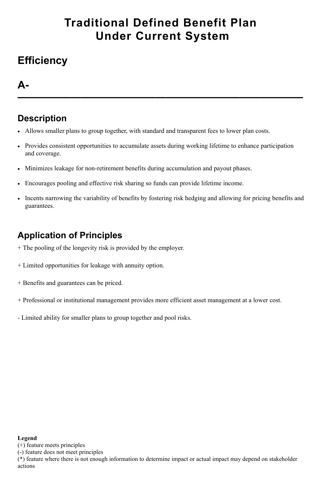## **Traditional Defined Benefit Plan Under Current System**

## **Efficiency**

### **A-**

**———————————————————————————**

### **Description**

- Allows smaller plans to group together, with standard and transparent fees to lower plan costs.
- Provides consistent opportunities to accumulate assets during working lifetime to enhance participation and coverage.
- Minimizes leakage for non-retirement benefits during accumulation and payout phases.
- Encourages pooling and effective risk sharing so funds can provide lifetime income.
- Incents narrowing the variability of benefits by fostering risk hedging and allowing for pricing benefits and guarantees.

### **Application of Principles**

- + The pooling of the longevity risk is provided by the employer.
- + Limited opportunities for leakage with annuity option.
- + Benefits and guarantees can be priced.
- + Professional or institutional management provides more efficient asset management at a lower cost.
- Limited ability for smaller plans to group together and pool risks.

#### **Legend**

(+) feature meets principles

(-) feature does not meet principles

(\*) feature where there is not enough information to determine impact or actual impact may depend on stakeholder actions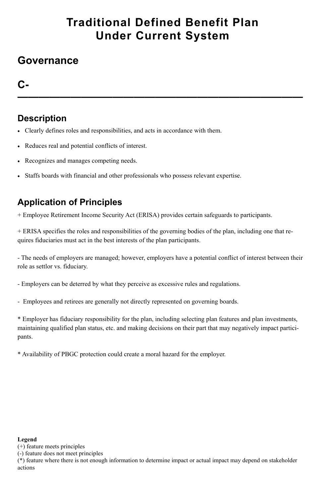## **Traditional Defined Benefit Plan Under Current System**

### **Governance**

### **C-**

**———————————————————————————**

### **Description**

- Clearly defines roles and responsibilities, and acts in accordance with them.
- Reduces real and potential conflicts of interest.
- Recognizes and manages competing needs.
- Staffs boards with financial and other professionals who possess relevant expertise.

### **Application of Principles**

+ Employee Retirement Income Security Act (ERISA) provides certain safeguards to participants.

+ ERISA specifies the roles and responsibilities of the governing bodies of the plan, including one that requires fiduciaries must act in the best interests of the plan participants.

- The needs of employers are managed; however, employers have a potential conflict of interest between their role as settlor vs. fiduciary.

- Employers can be deterred by what they perceive as excessive rules and regulations.

- Employees and retirees are generally not directly represented on governing boards.

\* Employer has fiduciary responsibility for the plan, including selecting plan features and plan investments, maintaining qualified plan status, etc. and making decisions on their part that may negatively impact participants.

\* Availability of PBGC protection could create a moral hazard for the employer.

#### **Legend**

(+) feature meets principles

(-) feature does not meet principles

(\*) feature where there is not enough information to determine impact or actual impact may depend on stakeholder actions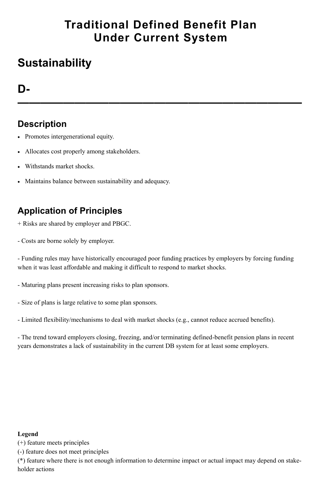## **Traditional Defined Benefit Plan Under Current System**

## **Sustainability**

### **D-**

**—————————————————————————**

### **Description**

- Promotes intergenerational equity.
- Allocates cost properly among stakeholders.
- Withstands market shocks.
- Maintains balance between sustainability and adequacy.

### **Application of Principles**

- + Risks are shared by employer and PBGC.
- Costs are borne solely by employer.

- Funding rules may have historically encouraged poor funding practices by employers by forcing funding when it was least affordable and making it difficult to respond to market shocks.

- Maturing plans present increasing risks to plan sponsors.
- Size of plans is large relative to some plan sponsors.
- Limited flexibility/mechanisms to deal with market shocks (e.g., cannot reduce accrued benefits).

- The trend toward employers closing, freezing, and/or terminating defined-benefit pension plans in recent years demonstrates a lack of sustainability in the current DB system for at least some employers.

#### **Legend**

(+) feature meets principles

(-) feature does not meet principles

(\*) feature where there is not enough information to determine impact or actual impact may depend on stakeholder actions